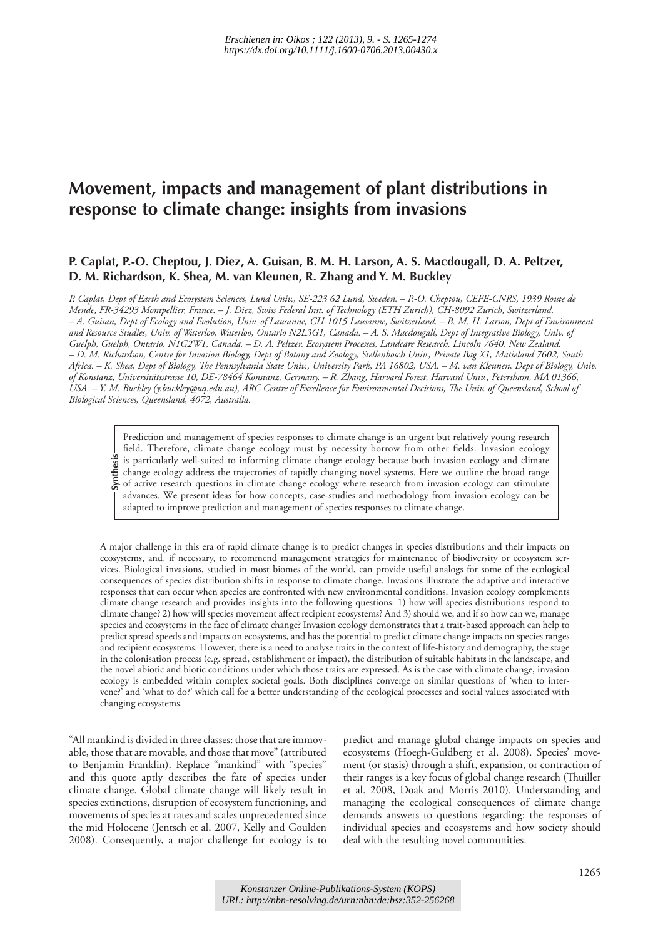# **Movement, impacts and management of plant distributions in response to climate change: insights from invasions**

# P. Caplat, P.-O. Cheptou, J. Diez, A. Guisan, B. M. H. Larson, A. S. Macdougall, D. A. Peltzer, **D. M. Richardson, K. Shea, M. van Kleunen, R. Zhang and Y. M. Buckley**

 *P. Caplat, Dept of Earth and Ecosystem Sciences, Lund Univ., SE-223 62 Lund, Sweden. – P.-O. Cheptou, CEFE-CNRS, 1939 Route de Mende, FR-34293 Montpellier, France. – J. Diez, Swiss Federal Inst. of Technology (ETH Zurich), CH-8092 Zurich, Switzerland. – A. Guisan, Dept of Ecology and Evolution, Univ. of Lausanne, CH-1015 Lausanne, Switzerland. – B. M. H. Larson, Dept of Environment and Resource Studies, Univ. of Waterloo, Waterloo, Ontario N2L3G1, Canada. – A. S. Macdougall, Dept of Integrative Biology, Univ. of Guelph, Guelph, Ontario, N1G2W1, Canada. – D. A. Peltzer, Ecosystem Processes, Landcare Research, Lincoln 7640, New Zealand. – D. M. Richardson, Centre for Invasion Biology, Dept of Botany and Zoology, Stellenbosch Univ., Private Bag X1, Matieland 7602, South*  Africa. – K. Shea, Dept of Biology, The Pennsylvania State Univ., University Park, PA 16802, USA. – M. van Kleunen, Dept of Biology, Univ. *of Konstanz, Universit ä tsstrasse 10, DE-78464 Konstanz, Germany. – R. Zhang, Harvard Forest, Harvard Univ., Petersham, MA 01366,*  USA. – Y. M. Buckley (y.buckley@uq.edu.au), ARC Centre of Excellence for Environmental Decisions, The Univ. of Queensland, School of *Biological Sciences, Queensland, 4072, Australia.* 

Prediction and management of species responses to climate change is an urgent but relatively young research field. Therefore, climate change ecology must by necessity borrow from other fields. Invasion ecology is particularly well-suited to informing climate change ecology because both invasion ecology and climate change ecology address the trajectories of rapidly changing novel systems. Here we outline the broad range of active research questions in climate change ecology where research from invasion ecology can stimulate advances. We present ideas for how concepts, case-studies and methodology from invasion ecology can be adapted to improve prediction and management of species responses to climate change. **Synthesis**

 A major challenge in this era of rapid climate change is to predict changes in species distributions and their impacts on ecosystems, and, if necessary, to recommend management strategies for maintenance of biodiversity or ecosystem services. Biological invasions, studied in most biomes of the world, can provide useful analogs for some of the ecological consequences of species distribution shifts in response to climate change. Invasions illustrate the adaptive and interactive responses that can occur when species are confronted with new environmental conditions. Invasion ecology complements climate change research and provides insights into the following questions: 1) how will species distributions respond to climate change? 2) how will species movement affect recipient ecosystems? And 3) should we, and if so how can we, manage species and ecosystems in the face of climate change? Invasion ecology demonstrates that a trait-based approach can help to predict spread speeds and impacts on ecosystems, and has the potential to predict climate change impacts on species ranges and recipient ecosystems. However, there is a need to analyse traits in the context of life-history and demography, the stage in the colonisation process (e.g. spread, establishment or impact), the distribution of suitable habitats in the landscape, and the novel abiotic and biotic conditions under which those traits are expressed. As is the case with climate change, invasion ecology is embedded within complex societal goals. Both disciplines converge on similar questions of 'when to intervene? ' and ' what to do? ' which call for a better understanding of the ecological processes and social values associated with changing ecosystems.

 "All mankind is divided in three classes: those that are immovable, those that are movable, and those that move" (attributed to Benjamin Franklin). Replace "mankind" with "species" and this quote aptly describes the fate of species under climate change. Global climate change will likely result in species extinctions, disruption of ecosystem functioning, and movements of species at rates and scales unprecedented since the mid Holocene (Jentsch et al. 2007, Kelly and Goulden 2008). Consequently, a major challenge for ecology is to

predict and manage global change impacts on species and ecosystems (Hoegh-Guldberg et al. 2008). Species' movement (or stasis) through a shift, expansion, or contraction of their ranges is a key focus of global change research (Thuiller et al. 2008, Doak and Morris 2010). Understanding and managing the ecological consequences of climate change demands answers to questions regarding: the responses of individual species and ecosystems and how society should deal with the resulting novel communities.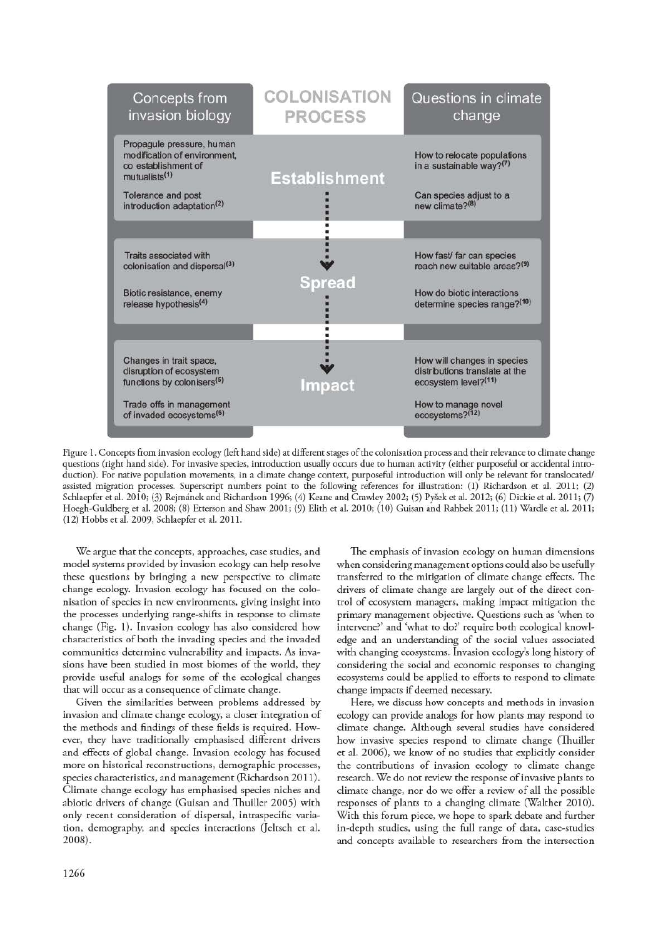

Figure 1. Concepts from invasion ecology (left hand side) at different stages of the colonisation process and their relevance to climate change questions (right hand side). For invasive species, introduction usually occurs due to human activity (either purposeful or accidental introduction). For native population movements, in a climate change context, purposeful introduction will only be relevant for translocated/ assisted migration processes. Superscript numbers point to the following references for illustration: (1) Richardson et al. 2011; (2) Schlaepfer et al. 2010; (3) Rejmanek and Richardson 1996; (4) Keane and Crawley 2002; (5) Py5ek et al. 2012; (6) Dickie et al. 2011; (7) Hoegh-Guldberg et al. 2008; (8) Etterson and Shaw 2001; (9) Elith et al. 2010; (10) Guisan and Rahbek 2011; (11) Wardle et al. 2011; (12) Hobbs et al. 2009, Schlaepfer et al. 2011.

We argue that the concepts, approaches, case studies, and model systems provided by invasion ecology can help resolve these questions by bringing a new perspective to climate change ecology. Invasion ecology has focused on the colonisation of species in new environments, giving insight into the processes underlying range-shifts in response to climate change (Fig. 1). Invasion ecology has also considered how characteristics of both the invading species and the invaded communities determine vulnerability and impacts. *As* invasions have been studied in most biomes of the world, they provide useful analogs for some of the ecological changes that will occur as a consequence of climate change.

Given the similarities between problems addressed by invasion and climate change ecology, a closer integration of the methods and findings of these fields is required. However, they have traditionally emphasised different drivers and effects of global change. Invasion ecology has focused more on historical reconstructions, demographic processes, species characteristics, and management (Richardson 2011). Climate change ecology has emphasised species niches and abiotic drivers of change (Guisan and Thuiller 2005) with only recent consideration of dispersal, intraspecific variation, demography, and species interactions (Jeltsch et al. 2008).

The emphasis of invasion ecology on human dimensions when considering management options could also be usefully transferred to the mitigation of climate change effects. The drivers of climate change are largely out of the direct control of ecosystem managers, making impact mitigation the primary management objective. Questions such as 'when to intervene?' and 'what to do?' require both ecological knowledge and an understanding of the social values associated with changing ecosystems. Invasion ecology's long history of considering the social and economic responses to changing ecosystems could be applied to efforts to respond to climate change impacts if deemed necessary.

Here, we discuss how concepts and methods in invasion ecology can provide analogs for how plants may respond to climate change. Although several studies have considered how invasive species respond to climate change (Thuiller et al. 2006), we know of no studies that explicitly consider the contributions of invasion ecology to climate change research. We do not review the response of invasive plants to climate change, nor do we offer a review of all the possible responses of plants to a changing climate (Walther 2010). With this forum piece, we hope to spark debate and further in-depth studies, using the full range of data, case-studies and concepts available to researchers from the intersection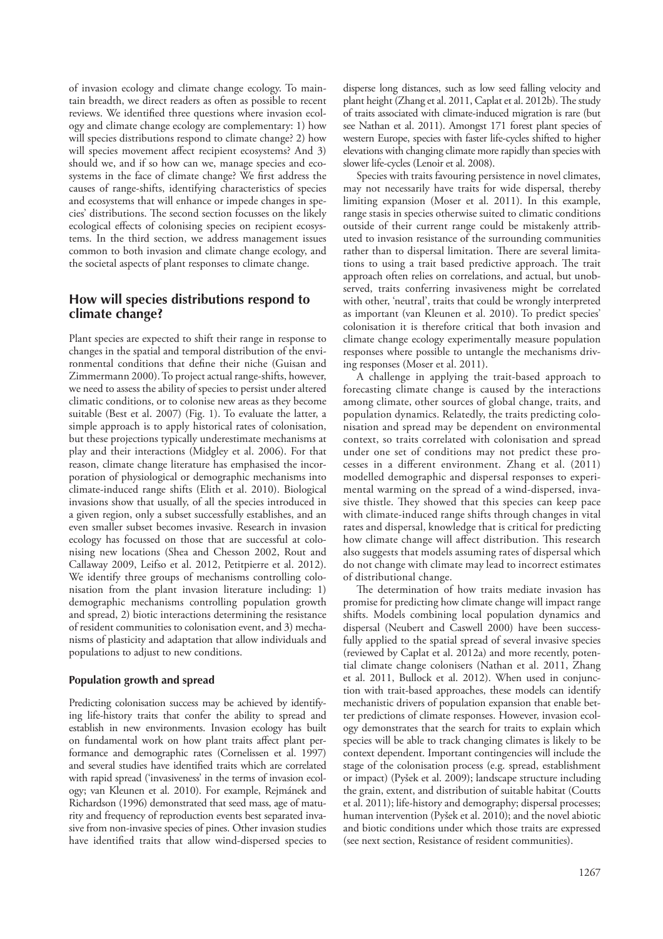of invasion ecology and climate change ecology. To maintain breadth, we direct readers as often as possible to recent reviews. We identified three questions where invasion ecology and climate change ecology are complementary: 1) how will species distributions respond to climate change? 2) how will species movement affect recipient ecosystems? And 3) should we, and if so how can we, manage species and ecosystems in the face of climate change? We first address the causes of range-shifts, identifying characteristics of species and ecosystems that will enhance or impede changes in species' distributions. The second section focusses on the likely ecological effects of colonising species on recipient ecosystems. In the third section, we address management issues common to both invasion and climate change ecology, and the societal aspects of plant responses to climate change.

# **How will species distributions respond to climate change?**

 Plant species are expected to shift their range in response to changes in the spatial and temporal distribution of the environmental conditions that define their niche (Guisan and Zimmermann 2000). To project actual range-shifts, however, we need to assess the ability of species to persist under altered climatic conditions, or to colonise new areas as they become suitable (Best et al. 2007) (Fig. 1). To evaluate the latter, a simple approach is to apply historical rates of colonisation, but these projections typically underestimate mechanisms at play and their interactions (Midgley et al. 2006). For that reason, climate change literature has emphasised the incorporation of physiological or demographic mechanisms into climate-induced range shifts (Elith et al. 2010). Biological invasions show that usually, of all the species introduced in a given region, only a subset successfully establishes, and an even smaller subset becomes invasive. Research in invasion ecology has focussed on those that are successful at colonising new locations (Shea and Chesson 2002, Rout and Callaway 2009, Leifso et al. 2012, Petitpierre et al. 2012). We identify three groups of mechanisms controlling colonisation from the plant invasion literature including: 1) demographic mechanisms controlling population growth and spread, 2) biotic interactions determining the resistance of resident communities to colonisation event, and 3) mechanisms of plasticity and adaptation that allow individuals and populations to adjust to new conditions.

#### **Population growth and spread**

 Predicting colonisation success may be achieved by identifying life-history traits that confer the ability to spread and establish in new environments. Invasion ecology has built on fundamental work on how plant traits affect plant performance and demographic rates (Cornelissen et al. 1997) and several studies have identified traits which are correlated with rapid spread ('invasiveness' in the terms of invasion ecology; van Kleunen et al. 2010). For example, Rejmánek and Richardson (1996) demonstrated that seed mass, age of maturity and frequency of reproduction events best separated invasive from non-invasive species of pines. Other invasion studies have identified traits that allow wind-dispersed species to disperse long distances, such as low seed falling velocity and plant height (Zhang et al. 2011, Caplat et al. 2012b). The study of traits associated with climate-induced migration is rare (but see Nathan et al. 2011). Amongst 171 forest plant species of western Europe, species with faster life-cycles shifted to higher elevations with changing climate more rapidly than species with slower life-cycles (Lenoir et al. 2008).

 Species with traits favouring persistence in novel climates, may not necessarily have traits for wide dispersal, thereby limiting expansion (Moser et al. 2011). In this example, range stasis in species otherwise suited to climatic conditions outside of their current range could be mistakenly attributed to invasion resistance of the surrounding communities rather than to dispersal limitation. There are several limitations to using a trait based predictive approach. The trait approach often relies on correlations, and actual, but unobserved, traits conferring invasiveness might be correlated with other, 'neutral', traits that could be wrongly interpreted as important (van Kleunen et al. 2010). To predict species ' colonisation it is therefore critical that both invasion and climate change ecology experimentally measure population responses where possible to untangle the mechanisms driving responses (Moser et al. 2011).

 A challenge in applying the trait-based approach to forecasting climate change is caused by the interactions among climate, other sources of global change, traits, and population dynamics. Relatedly, the traits predicting colonisation and spread may be dependent on environmental context, so traits correlated with colonisation and spread under one set of conditions may not predict these processes in a different environment. Zhang et al. (2011) modelled demographic and dispersal responses to experimental warming on the spread of a wind-dispersed, invasive thistle. They showed that this species can keep pace with climate-induced range shifts through changes in vital rates and dispersal, knowledge that is critical for predicting how climate change will affect distribution. This research also suggests that models assuming rates of dispersal which do not change with climate may lead to incorrect estimates of distributional change.

The determination of how traits mediate invasion has promise for predicting how climate change will impact range shifts. Models combining local population dynamics and dispersal (Neubert and Caswell 2000) have been successfully applied to the spatial spread of several invasive species (reviewed by Caplat et al. 2012a) and more recently, potential climate change colonisers (Nathan et al. 2011, Zhang et al. 2011, Bullock et al. 2012). When used in conjunction with trait-based approaches, these models can identify mechanistic drivers of population expansion that enable better predictions of climate responses. However, invasion ecology demonstrates that the search for traits to explain which species will be able to track changing climates is likely to be context dependent. Important contingencies will include the stage of the colonisation process (e.g. spread, establishment or impact) (Pyšek et al. 2009); landscape structure including the grain, extent, and distribution of suitable habitat (Coutts et al. 2011); life-history and demography; dispersal processes; human intervention (Pyšek et al. 2010); and the novel abiotic and biotic conditions under which those traits are expressed (see next section, Resistance of resident communities).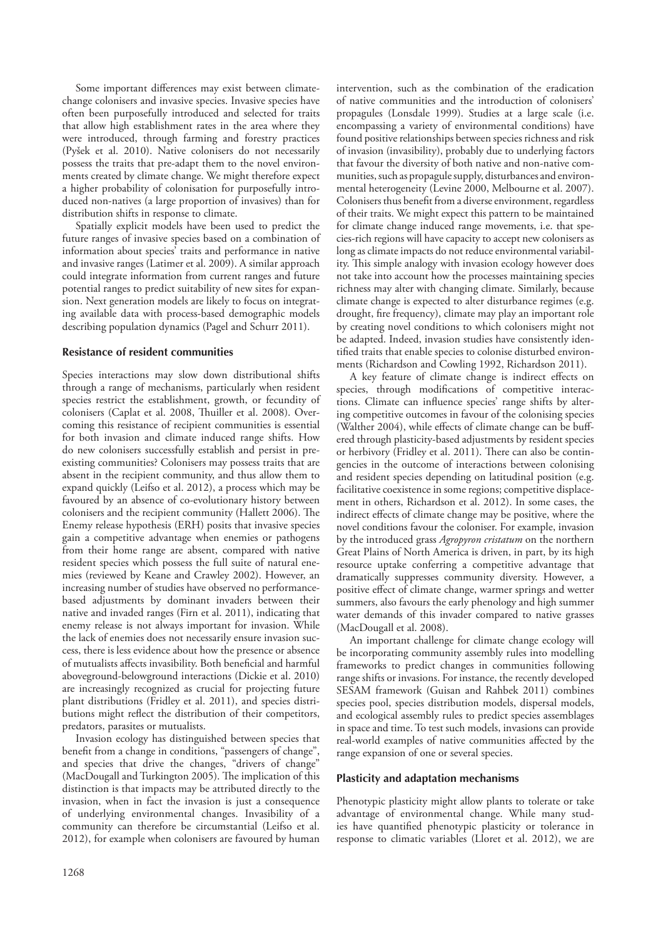Some important differences may exist between climatechange colonisers and invasive species. Invasive species have often been purposefully introduced and selected for traits that allow high establishment rates in the area where they were introduced, through farming and forestry practices (Pyšek et al. 2010). Native colonisers do not necessarily possess the traits that pre-adapt them to the novel environments created by climate change. We might therefore expect a higher probability of colonisation for purposefully introduced non-natives (a large proportion of invasives) than for distribution shifts in response to climate.

 Spatially explicit models have been used to predict the future ranges of invasive species based on a combination of information about species' traits and performance in native and invasive ranges (Latimer et al. 2009). A similar approach could integrate information from current ranges and future potential ranges to predict suitability of new sites for expansion. Next generation models are likely to focus on integrating available data with process-based demographic models describing population dynamics (Pagel and Schurr 2011).

#### **Resistance of resident communities**

 Species interactions may slow down distributional shifts through a range of mechanisms, particularly when resident species restrict the establishment, growth, or fecundity of colonisers (Caplat et al. 2008, Thuiller et al. 2008). Overcoming this resistance of recipient communities is essential for both invasion and climate induced range shifts. How do new colonisers successfully establish and persist in preexisting communities? Colonisers may possess traits that are absent in the recipient community, and thus allow them to expand quickly (Leifso et al. 2012), a process which may be favoured by an absence of co-evolutionary history between colonisers and the recipient community (Hallett 2006). The Enemy release hypothesis (ERH) posits that invasive species gain a competitive advantage when enemies or pathogens from their home range are absent, compared with native resident species which possess the full suite of natural enemies (reviewed by Keane and Crawley 2002). However, an increasing number of studies have observed no performancebased adjustments by dominant invaders between their native and invaded ranges (Firn et al. 2011), indicating that enemy release is not always important for invasion. While the lack of enemies does not necessarily ensure invasion success, there is less evidence about how the presence or absence of mutualists affects invasibility. Both beneficial and harmful aboveground-belowground interactions (Dickie et al. 2010) are increasingly recognized as crucial for projecting future plant distributions (Fridley et al. 2011), and species distributions might reflect the distribution of their competitors, predators, parasites or mutualists.

 Invasion ecology has distinguished between species that benefit from a change in conditions, "passengers of change", and species that drive the changes, "drivers of change"  $(MacDougall and Turkington 2005)$ . The implication of this distinction is that impacts may be attributed directly to the invasion, when in fact the invasion is just a consequence of underlying environmental changes. Invasibility of a community can therefore be circumstantial (Leifso et al. 2012), for example when colonisers are favoured by human

intervention, such as the combination of the eradication of native communities and the introduction of colonisers ' propagules (Lonsdale 1999). Studies at a large scale (i.e. encompassing a variety of environmental conditions) have found positive relationships between species richness and risk of invasion (invasibility), probably due to underlying factors that favour the diversity of both native and non-native communities, such as propagule supply, disturbances and environmental heterogeneity (Levine 2000, Melbourne et al. 2007). Colonisers thus benefit from a diverse environment, regardless of their traits. We might expect this pattern to be maintained for climate change induced range movements, i.e. that species-rich regions will have capacity to accept new colonisers as long as climate impacts do not reduce environmental variability. This simple analogy with invasion ecology however does not take into account how the processes maintaining species richness may alter with changing climate. Similarly, because climate change is expected to alter disturbance regimes (e.g. drought, fire frequency), climate may play an important role by creating novel conditions to which colonisers might not be adapted. Indeed, invasion studies have consistently identified traits that enable species to colonise disturbed environments (Richardson and Cowling 1992, Richardson 2011).

A key feature of climate change is indirect effects on species, through modifications of competitive interactions. Climate can influence species' range shifts by altering competitive outcomes in favour of the colonising species (Walther 2004), while effects of climate change can be buffered through plasticity-based adjustments by resident species or herbivory (Fridley et al. 2011). There can also be contingencies in the outcome of interactions between colonising and resident species depending on latitudinal position (e.g. facilitative coexistence in some regions; competitive displacement in others, Richardson et al. 2012). In some cases, the indirect effects of climate change may be positive, where the novel conditions favour the coloniser. For example, invasion by the introduced grass *Agropyron cristatum* on the northern Great Plains of North America is driven, in part, by its high resource uptake conferring a competitive advantage that dramatically suppresses community diversity. However, a positive effect of climate change, warmer springs and wetter summers, also favours the early phenology and high summer water demands of this invader compared to native grasses (MacDougall et al. 2008).

 An important challenge for climate change ecology will be incorporating community assembly rules into modelling frameworks to predict changes in communities following range shifts or invasions. For instance, the recently developed SESAM framework (Guisan and Rahbek 2011) combines species pool, species distribution models, dispersal models, and ecological assembly rules to predict species assemblages in space and time. To test such models, invasions can provide real-world examples of native communities affected by the range expansion of one or several species.

#### **Plasticity and adaptation mechanisms**

 Phenotypic plasticity might allow plants to tolerate or take advantage of environmental change. While many studies have quantified phenotypic plasticity or tolerance in response to climatic variables (Lloret et al. 2012), we are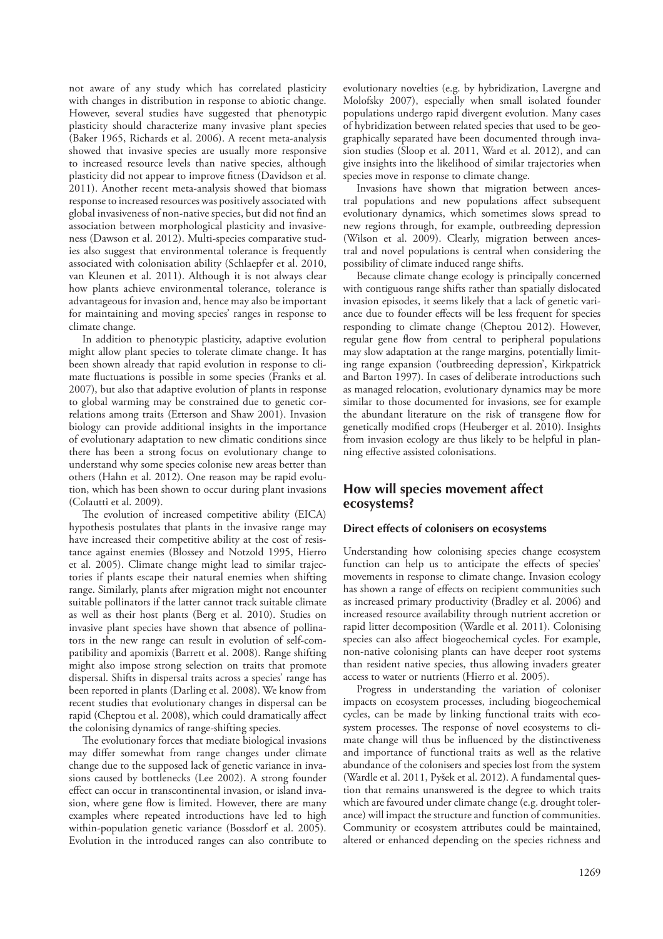not aware of any study which has correlated plasticity with changes in distribution in response to abiotic change. However, several studies have suggested that phenotypic plasticity should characterize many invasive plant species (Baker 1965, Richards et al. 2006). A recent meta-analysis showed that invasive species are usually more responsive to increased resource levels than native species, although plasticity did not appear to improve fitness (Davidson et al. 2011). Another recent meta-analysis showed that biomass response to increased resources was positively associated with global invasiveness of non-native species, but did not find an association between morphological plasticity and invasiveness (Dawson et al. 2012). Multi-species comparative studies also suggest that environmental tolerance is frequently associated with colonisation ability (Schlaepfer et al. 2010, van Kleunen et al. 2011). Although it is not always clear how plants achieve environmental tolerance, tolerance is advantageous for invasion and, hence may also be important for maintaining and moving species' ranges in response to climate change.

 In addition to phenotypic plasticity, adaptive evolution might allow plant species to tolerate climate change. It has been shown already that rapid evolution in response to climate fluctuations is possible in some species (Franks et al. 2007), but also that adaptive evolution of plants in response to global warming may be constrained due to genetic correlations among traits (Etterson and Shaw 2001). Invasion biology can provide additional insights in the importance of evolutionary adaptation to new climatic conditions since there has been a strong focus on evolutionary change to understand why some species colonise new areas better than others (Hahn et al. 2012). One reason may be rapid evolution, which has been shown to occur during plant invasions (Colautti et al. 2009).

The evolution of increased competitive ability (EICA) hypothesis postulates that plants in the invasive range may have increased their competitive ability at the cost of resistance against enemies (Blossey and Notzold 1995, Hierro et al. 2005). Climate change might lead to similar trajectories if plants escape their natural enemies when shifting range. Similarly, plants after migration might not encounter suitable pollinators if the latter cannot track suitable climate as well as their host plants (Berg et al. 2010). Studies on invasive plant species have shown that absence of pollinators in the new range can result in evolution of self-compatibility and apomixis (Barrett et al. 2008). Range shifting might also impose strong selection on traits that promote dispersal. Shifts in dispersal traits across a species' range has been reported in plants (Darling et al. 2008). We know from recent studies that evolutionary changes in dispersal can be rapid (Cheptou et al. 2008), which could dramatically affect the colonising dynamics of range-shifting species.

The evolutionary forces that mediate biological invasions may differ somewhat from range changes under climate change due to the supposed lack of genetic variance in invasions caused by bottlenecks (Lee 2002). A strong founder effect can occur in transcontinental invasion, or island invasion, where gene flow is limited. However, there are many examples where repeated introductions have led to high within-population genetic variance (Bossdorf et al. 2005). Evolution in the introduced ranges can also contribute to evolutionary novelties (e.g. by hybridization, Lavergne and Molofsky 2007), especially when small isolated founder populations undergo rapid divergent evolution. Many cases of hybridization between related species that used to be geographically separated have been documented through invasion studies (Sloop et al. 2011, Ward et al. 2012), and can give insights into the likelihood of similar trajectories when species move in response to climate change.

 Invasions have shown that migration between ancestral populations and new populations affect subsequent evolutionary dynamics, which sometimes slows spread to new regions through, for example, outbreeding depression (Wilson et al. 2009). Clearly, migration between ancestral and novel populations is central when considering the possibility of climate induced range shifts.

 Because climate change ecology is principally concerned with contiguous range shifts rather than spatially dislocated invasion episodes, it seems likely that a lack of genetic variance due to founder effects will be less frequent for species responding to climate change (Cheptou 2012). However, regular gene flow from central to peripheral populations may slow adaptation at the range margins, potentially limiting range expansion ('outbreeding depression', Kirkpatrick and Barton 1997). In cases of deliberate introductions such as managed relocation, evolutionary dynamics may be more similar to those documented for invasions, see for example the abundant literature on the risk of transgene flow for genetically modified crops (Heuberger et al. 2010). Insights from invasion ecology are thus likely to be helpful in planning effective assisted colonisations.

# **How will species movement affect ecosystems?**

#### **Direct effects of colonisers on ecosystems**

 Understanding how colonising species change ecosystem function can help us to anticipate the effects of species' movements in response to climate change. Invasion ecology has shown a range of effects on recipient communities such as increased primary productivity (Bradley et al. 2006) and increased resource availability through nutrient accretion or rapid litter decomposition (Wardle et al. 2011). Colonising species can also affect biogeochemical cycles. For example, non-native colonising plants can have deeper root systems than resident native species, thus allowing invaders greater access to water or nutrients (Hierro et al. 2005).

 Progress in understanding the variation of coloniser impacts on ecosystem processes, including biogeochemical cycles, can be made by linking functional traits with ecosystem processes. The response of novel ecosystems to climate change will thus be influenced by the distinctiveness and importance of functional traits as well as the relative abundance of the colonisers and species lost from the system (Wardle et al. 2011, Pyšek et al. 2012). A fundamental question that remains unanswered is the degree to which traits which are favoured under climate change (e.g. drought tolerance) will impact the structure and function of communities. Community or ecosystem attributes could be maintained, altered or enhanced depending on the species richness and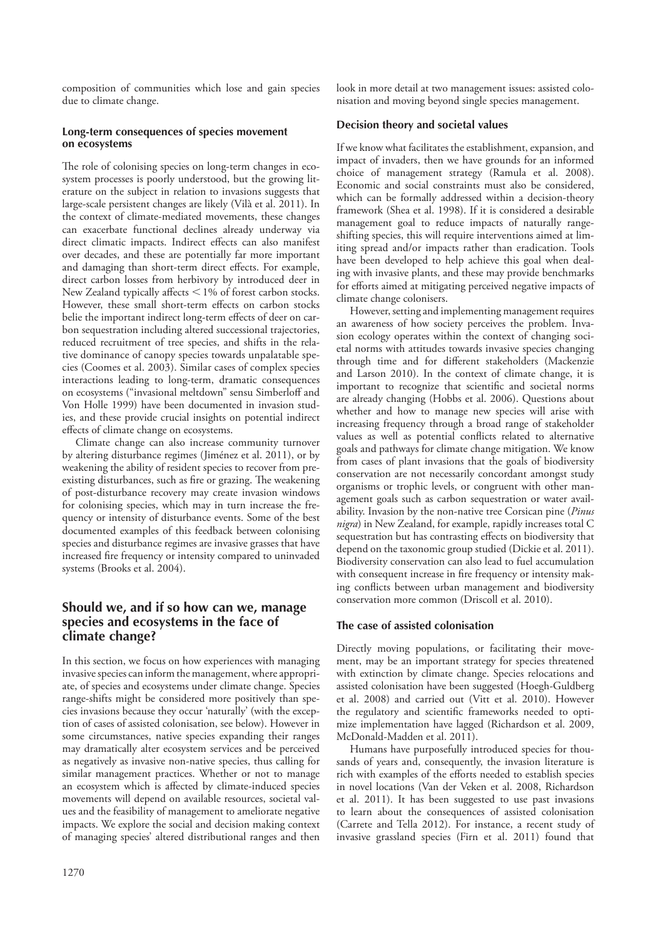composition of communities which lose and gain species due to climate change.

### **Long-term consequences of species movement on ecosystems**

The role of colonising species on long-term changes in ecosystem processes is poorly understood, but the growing literature on the subject in relation to invasions suggests that large-scale persistent changes are likely (Vilà et al. 2011). In the context of climate-mediated movements, these changes can exacerbate functional declines already underway via direct climatic impacts. Indirect effects can also manifest over decades, and these are potentially far more important and damaging than short-term direct effects. For example, direct carbon losses from herbivory by introduced deer in New Zealand typically affects  $\leq$  1% of forest carbon stocks. However, these small short-term effects on carbon stocks belie the important indirect long-term effects of deer on carbon sequestration including altered successional trajectories, reduced recruitment of tree species, and shifts in the relative dominance of canopy species towards unpalatable species (Coomes et al. 2003). Similar cases of complex species interactions leading to long-term, dramatic consequences on ecosystems ("invasional meltdown" sensu Simberloff and Von Holle 1999) have been documented in invasion studies, and these provide crucial insights on potential indirect effects of climate change on ecosystems.

 Climate change can also increase community turnover by altering disturbance regimes (Jiménez et al. 2011), or by weakening the ability of resident species to recover from preexisting disturbances, such as fire or grazing. The weakening of post-disturbance recovery may create invasion windows for colonising species, which may in turn increase the frequency or intensity of disturbance events. Some of the best documented examples of this feedback between colonising species and disturbance regimes are invasive grasses that have increased fire frequency or intensity compared to uninvaded systems (Brooks et al. 2004).

# **Should we, and if so how can we, manage species and ecosystems in the face of climate change?**

 In this section, we focus on how experiences with managing invasive species can inform the management, where appropriate, of species and ecosystems under climate change. Species range-shifts might be considered more positively than species invasions because they occur 'naturally' (with the exception of cases of assisted colonisation, see below). However in some circumstances, native species expanding their ranges may dramatically alter ecosystem services and be perceived as negatively as invasive non-native species, thus calling for similar management practices. Whether or not to manage an ecosystem which is affected by climate-induced species movements will depend on available resources, societal values and the feasibility of management to ameliorate negative impacts. We explore the social and decision making context of managing species' altered distributional ranges and then

look in more detail at two management issues: assisted colonisation and moving beyond single species management.

## **Decision theory and societal values**

 If we know what facilitates the establishment, expansion, and impact of invaders, then we have grounds for an informed choice of management strategy (Ramula et al. 2008). Economic and social constraints must also be considered, which can be formally addressed within a decision-theory framework (Shea et al. 1998). If it is considered a desirable management goal to reduce impacts of naturally rangeshifting species, this will require interventions aimed at limiting spread and/or impacts rather than eradication. Tools have been developed to help achieve this goal when dealing with invasive plants, and these may provide benchmarks for efforts aimed at mitigating perceived negative impacts of climate change colonisers.

 However, setting and implementing management requires an awareness of how society perceives the problem. Invasion ecology operates within the context of changing societal norms with attitudes towards invasive species changing through time and for different stakeholders (Mackenzie and Larson 2010). In the context of climate change, it is important to recognize that scientific and societal norms are already changing (Hobbs et al. 2006). Questions about whether and how to manage new species will arise with increasing frequency through a broad range of stakeholder values as well as potential conflicts related to alternative goals and pathways for climate change mitigation. We know from cases of plant invasions that the goals of biodiversity conservation are not necessarily concordant amongst study organisms or trophic levels, or congruent with other management goals such as carbon sequestration or water availability. Invasion by the non-native tree Corsican pine (*Pinus nigra* ) in New Zealand, for example, rapidly increases total C sequestration but has contrasting effects on biodiversity that depend on the taxonomic group studied (Dickie et al. 2011). Biodiversity conservation can also lead to fuel accumulation with consequent increase in fire frequency or intensity making conflicts between urban management and biodiversity conservation more common (Driscoll et al. 2010).

## **The case of assisted colonisation**

 Directly moving populations, or facilitating their movement, may be an important strategy for species threatened with extinction by climate change. Species relocations and assisted colonisation have been suggested (Hoegh-Guldberg et al. 2008) and carried out (Vitt et al. 2010). However the regulatory and scientific frameworks needed to optimize implementation have lagged (Richardson et al. 2009, McDonald-Madden et al. 2011).

 Humans have purposefully introduced species for thousands of years and, consequently, the invasion literature is rich with examples of the efforts needed to establish species in novel locations (Van der Veken et al. 2008, Richardson et al. 2011). It has been suggested to use past invasions to learn about the consequences of assisted colonisation (Carrete and Tella 2012). For instance, a recent study of invasive grassland species (Firn et al. 2011) found that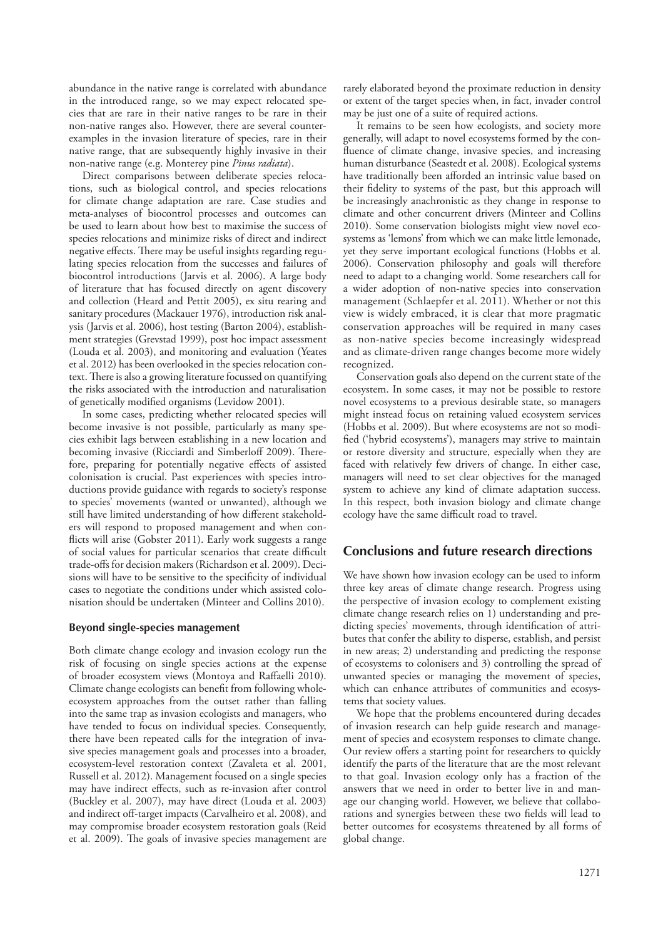abundance in the native range is correlated with abundance in the introduced range, so we may expect relocated species that are rare in their native ranges to be rare in their non-native ranges also. However, there are several counterexamples in the invasion literature of species, rare in their native range, that are subsequently highly invasive in their non-native range (e.g. Monterey pine *Pinus radiata* ).

 Direct comparisons between deliberate species relocations, such as biological control, and species relocations for climate change adaptation are rare. Case studies and meta-analyses of biocontrol processes and outcomes can be used to learn about how best to maximise the success of species relocations and minimize risks of direct and indirect negative effects. There may be useful insights regarding regulating species relocation from the successes and failures of biocontrol introductions (Jarvis et al. 2006). A large body of literature that has focused directly on agent discovery and collection (Heard and Pettit 2005), ex situ rearing and sanitary procedures (Mackauer 1976), introduction risk analysis (Jarvis et al. 2006), host testing (Barton 2004), establishment strategies (Grevstad 1999), post hoc impact assessment (Louda et al. 2003), and monitoring and evaluation (Yeates et al. 2012) has been overlooked in the species relocation context. There is also a growing literature focussed on quantifying the risks associated with the introduction and naturalisation of genetically modified organisms (Levidow 2001).

 In some cases, predicting whether relocated species will become invasive is not possible, particularly as many species exhibit lags between establishing in a new location and becoming invasive (Ricciardi and Simberloff 2009). Therefore, preparing for potentially negative effects of assisted colonisation is crucial. Past experiences with species introductions provide guidance with regards to society's response to species' movements (wanted or unwanted), although we still have limited understanding of how different stakeholders will respond to proposed management and when conflicts will arise (Gobster 2011). Early work suggests a range of social values for particular scenarios that create difficult trade-offs for decision makers (Richardson et al. 2009). Decisions will have to be sensitive to the specificity of individual cases to negotiate the conditions under which assisted colonisation should be undertaken (Minteer and Collins 2010).

#### **Beyond single-species management**

 Both climate change ecology and invasion ecology run the risk of focusing on single species actions at the expense of broader ecosystem views (Montoya and Raffaelli 2010). Climate change ecologists can benefit from following wholeecosystem approaches from the outset rather than falling into the same trap as invasion ecologists and managers, who have tended to focus on individual species. Consequently, there have been repeated calls for the integration of invasive species management goals and processes into a broader, ecosystem-level restoration context (Zavaleta et al. 2001, Russell et al. 2012). Management focused on a single species may have indirect effects, such as re-invasion after control (Buckley et al. 2007), may have direct (Louda et al. 2003) and indirect off -target impacts (Carvalheiro et al. 2008), and may compromise broader ecosystem restoration goals (Reid et al. 2009). The goals of invasive species management are rarely elaborated beyond the proximate reduction in density or extent of the target species when, in fact, invader control may be just one of a suite of required actions.

 It remains to be seen how ecologists, and society more generally, will adapt to novel ecosystems formed by the confluence of climate change, invasive species, and increasing human disturbance (Seastedt et al. 2008). Ecological systems have traditionally been afforded an intrinsic value based on their fidelity to systems of the past, but this approach will be increasingly anachronistic as they change in response to climate and other concurrent drivers (Minteer and Collins 2010). Some conservation biologists might view novel ecosystems as 'lemons' from which we can make little lemonade, yet they serve important ecological functions (Hobbs et al. 2006). Conservation philosophy and goals will therefore need to adapt to a changing world. Some researchers call for a wider adoption of non-native species into conservation management (Schlaepfer et al. 2011). Whether or not this view is widely embraced, it is clear that more pragmatic conservation approaches will be required in many cases as non-native species become increasingly widespread and as climate-driven range changes become more widely recognized.

 Conservation goals also depend on the current state of the ecosystem. In some cases, it may not be possible to restore novel ecosystems to a previous desirable state, so managers might instead focus on retaining valued ecosystem services (Hobbs et al. 2009). But where ecosystems are not so modified ('hybrid ecosystems'), managers may strive to maintain or restore diversity and structure, especially when they are faced with relatively few drivers of change. In either case, managers will need to set clear objectives for the managed system to achieve any kind of climate adaptation success. In this respect, both invasion biology and climate change ecology have the same difficult road to travel.

## **Conclusions and future research directions**

 We have shown how invasion ecology can be used to inform three key areas of climate change research. Progress using the perspective of invasion ecology to complement existing climate change research relies on 1) understanding and predicting species' movements, through identification of attributes that confer the ability to disperse, establish, and persist in new areas; 2) understanding and predicting the response of ecosystems to colonisers and 3) controlling the spread of unwanted species or managing the movement of species, which can enhance attributes of communities and ecosystems that society values.

 We hope that the problems encountered during decades of invasion research can help guide research and management of species and ecosystem responses to climate change. Our review offers a starting point for researchers to quickly identify the parts of the literature that are the most relevant to that goal. Invasion ecology only has a fraction of the answers that we need in order to better live in and manage our changing world. However, we believe that collaborations and synergies between these two fields will lead to better outcomes for ecosystems threatened by all forms of global change.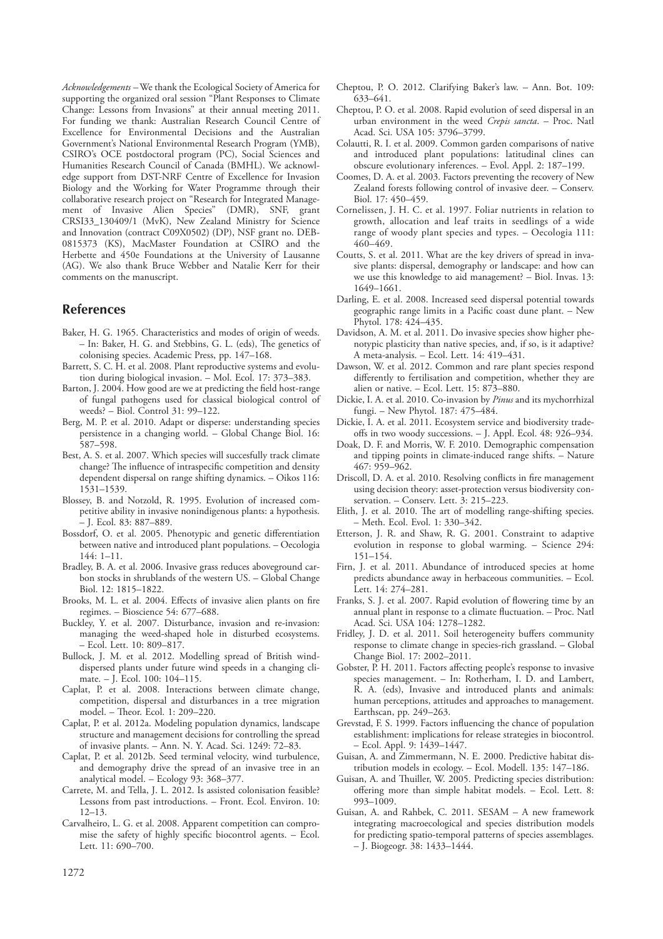*Acknowledgements –* We thank the Ecological Society of America for supporting the organized oral session "Plant Responses to Climate Change: Lessons from Invasions" at their annual meeting 2011. For funding we thank: Australian Research Council Centre of Excellence for Environmental Decisions and the Australian Government's National Environmental Research Program (YMB), CSIRO's OCE postdoctoral program (PC), Social Sciences and Humanities Research Council of Canada (BMHL). We acknowledge support from DST-NRF Centre of Excellence for Invasion Biology and the Working for Water Programme through their collaborative research project on " Research for Integrated Management of Invasive Alien Species" (DMR), SNF, grant CRSI33\_130409/1 (MvK), New Zealand Ministry for Science and Innovation (contract C09X0502) (DP), NSF grant no. DEB-0815373 (KS), MacMaster Foundation at CSIRO and the Herbette and 450e Foundations at the University of Lausanne (AG). We also thank Bruce Webber and Natalie Kerr for their comments on the manuscript.

## **References**

- Baker, H. G. 1965. Characteristics and modes of origin of weeds. – In: Baker, H. G. and Stebbins, G. L. (eds), The genetics of colonising species. Academic Press, pp. 147-168.
- Barrett, S. C. H. et al. 2008. Plant reproductive systems and evolution during biological invasion. - Mol. Ecol. 17: 373-383.
- Barton, J. 2004. How good are we at predicting the field host-range of fungal pathogens used for classical biological control of weeds? – Biol. Control  $31: 99-122$ .
- Berg, M. P. et al. 2010. Adapt or disperse: understanding species persistence in a changing world. – Global Change Biol. 16: 587 – 598.
- Best, A. S. et al. 2007. Which species will succesfully track climate change? The influence of intraspecific competition and density dependent dispersal on range shifting dynamics. – Oikos 116: 1531-1539.
- Blossey, B. and Notzold, R. 1995. Evolution of increased competitive ability in invasive nonindigenous plants: a hypothesis. – J. Ecol. 83: 887 – 889.
- Bossdorf, O. et al. 2005. Phenotypic and genetic differentiation between native and introduced plant populations. – Oecologia  $144: 1 - 11.$
- Bradley, B. A. et al. 2006. Invasive grass reduces aboveground carbon stocks in shrublands of the western US. – Global Change Biol. 12: 1815-1822.
- Brooks, M. L. et al. 2004. Effects of invasive alien plants on fire regimes. - Bioscience 54: 677-688.
- Buckley, Y. et al. 2007. Disturbance, invasion and re-invasion: managing the weed-shaped hole in disturbed ecosystems. – Ecol. Lett. 10: 809 – 817.
- Bullock, J. M. et al. 2012. Modelling spread of British winddispersed plants under future wind speeds in a changing climate. - J. Ecol. 100: 104-115.
- Caplat, P. et al. 2008. Interactions between climate change, competition, dispersal and disturbances in a tree migration model. - Theor. Ecol. 1: 209-220.
- Caplat, P. et al. 2012a. Modeling population dynamics, landscape structure and management decisions for controlling the spread of invasive plants. – Ann. N. Y. Acad. Sci. 1249: 72 – 83.
- Caplat, P. et al. 2012b. Seed terminal velocity, wind turbulence, and demography drive the spread of an invasive tree in an analytical model. - Ecology 93: 368-377.
- Carrete, M. and Tella, J. L. 2012. Is assisted colonisation feasible? Lessons from past introductions. – Front. Ecol. Environ. 10:  $12 - 13$ .
- Carvalheiro, L. G. et al. 2008. Apparent competition can compromise the safety of highly specific biocontrol agents.  $-$  Ecol. Lett. 11: 690-700.
- Cheptou, P. O. 2012. Clarifying Baker's law. Ann. Bot. 109: 633-641.
- Cheptou, P. O. et al. 2008. Rapid evolution of seed dispersal in an urban environment in the weed *Crepis sancta* . – Proc. Natl Acad. Sci. USA 105: 3796-3799.
- Colautti, R. I. et al. 2009. Common garden comparisons of native and introduced plant populations: latitudinal clines can obscure evolutionary inferences. - Evol. Appl. 2: 187-199.
- Coomes, D. A. et al. 2003. Factors preventing the recovery of New Zealand forests following control of invasive deer. – Conserv. Biol. 17: 450-459.
- Cornelissen, J. H. C. et al. 1997. Foliar nutrients in relation to growth, allocation and leaf traits in seedlings of a wide range of woody plant species and types. – Oecologia 111:  $460 - 469.$
- Coutts, S. et al. 2011. What are the key drivers of spread in invasive plants: dispersal, demography or landscape: and how can we use this knowledge to aid management? – Biol. Invas. 13: 1649-1661.
- Darling, E. et al. 2008. Increased seed dispersal potential towards geographic range limits in a Pacific coast dune plant. - New Phytol. 178: 424-435.
- Davidson, A. M. et al. 2011. Do invasive species show higher phenotypic plasticity than native species, and, if so, is it adaptive? A meta-analysis. - Ecol. Lett. 14: 419-431.
- Dawson, W. et al. 2012. Common and rare plant species respond differently to fertilisation and competition, whether they are alien or native. – Ecol. Lett. 15: 873 – 880.
- Dickie, I. A. et al. 2010. Co-invasion by *Pinus* and its mychorrhizal fungi. – New Phytol. 187: 475–484.
- Dickie, I. A. et al. 2011. Ecosystem service and biodiversity tradeoffs in two woody successions. - J. Appl. Ecol. 48: 926-934.
- Doak, D. F. and Morris, W. F. 2010. Demographic compensation and tipping points in climate-induced range shifts. – Nature 467: 959 – 962.
- Driscoll, D. A. et al. 2010. Resolving conflicts in fire management using decision theory: asset-protection versus biodiversity conservation. - Conserv. Lett. 3: 215-223.
- Elith, J. et al. 2010. The art of modelling range-shifting species. – Meth. Ecol. Evol. 1: 330 – 342.
- Etterson, J. R. and Shaw, R. G. 2001. Constraint to adaptive evolution in response to global warming. – Science 294:  $151 - 154.$
- Firn, J. et al. 2011. Abundance of introduced species at home predicts abundance away in herbaceous communities. – Ecol. Lett. 14: 274-281.
- Franks, S. J. et al. 2007. Rapid evolution of flowering time by an annual plant in response to a climate fluctuation. - Proc. Natl Acad. Sci. USA 104: 1278-1282.
- Fridley, J. D. et al. 2011. Soil heterogeneity buffers community response to climate change in species-rich grassland. – Global Change Biol. 17: 2002-2011.
- Gobster, P. H. 2011. Factors affecting people's response to invasive species management. – In: Rotherham, I. D. and Lambert, R. A. (eds), Invasive and introduced plants and animals: human perceptions, attitudes and approaches to management. Earthscan, pp. 249-263.
- Grevstad, F. S. 1999. Factors influencing the chance of population establishment: implications for release strategies in biocontrol. – Ecol. Appl. 9: 1439 – 1447.
- Guisan, A. and Zimmermann, N. E. 2000. Predictive habitat distribution models in ecology. - Ecol. Modell. 135: 147-186.
- Guisan, A. and Thuiller, W. 2005. Predicting species distribution: offering more than simple habitat models. - Ecol. Lett. 8: 993 – 1009.
- Guisan, A. and Rahbek, C. 2011. SESAM A new framework integrating macroecological and species distribution models for predicting spatio-temporal patterns of species assemblages. – J. Biogeogr. 38: 1433 – 1444.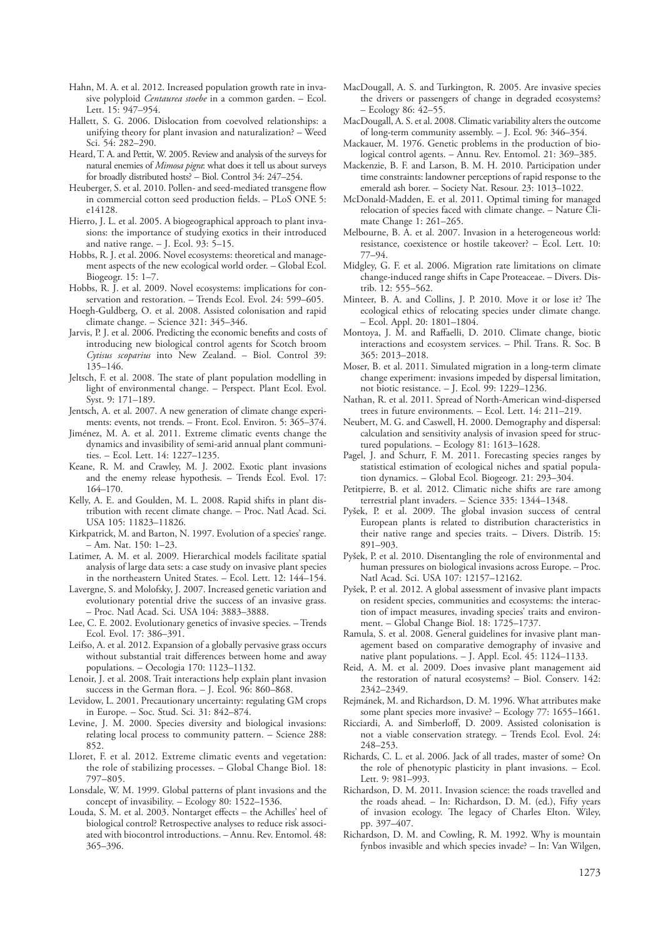- Hahn, M. A. et al. 2012. Increased population growth rate in invasive polyploid *Centaurea stoebe* in a common garden. – Ecol. Lett. 15: 947-954.
- Hallett, S. G. 2006. Dislocation from coevolved relationships: a unifying theory for plant invasion and naturalization? – Weed Sci. 54: 282-290.
- Heard, T. A. and Pettit, W. 2005. Review and analysis of the surveys for natural enemies of *Mimosa pigra*: what does it tell us about surveys for broadly distributed hosts? - Biol. Control 34: 247-254.
- Heuberger, S. et al. 2010. Pollen- and seed-mediated transgene flow in commercial cotton seed production fields. - PLoS ONE 5: e14128.
- Hierro, J. L. et al. 2005. A biogeographical approach to plant invasions: the importance of studying exotics in their introduced and native range.  $-$  J. Ecol. 93:  $5-15$ .
- Hobbs, R. J. et al. 2006. Novel ecosystems: theoretical and management aspects of the new ecological world order. – Global Ecol. Biogeogr. 15: 1-7.
- Hobbs, R. J. et al. 2009. Novel ecosystems: implications for conservation and restoration. - Trends Ecol. Evol. 24: 599-605.
- Hoegh-Guldberg, O. et al. 2008. Assisted colonisation and rapid climate change. – Science 321: 345 – 346.
- Jarvis, P. J. et al. 2006. Predicting the economic benefits and costs of introducing new biological control agents for Scotch broom *Cytisus scoparius* into New Zealand. – Biol. Control 39: 135 – 146.
- Jeltsch, F. et al. 2008. The state of plant population modelling in light of environmental change. – Perspect. Plant Ecol. Evol. Syst. 9: 171-189.
- Jentsch, A. et al. 2007. A new generation of climate change experiments: events, not trends. – Front. Ecol. Environ. 5: 365–374.
- Jiménez, M. A. et al. 2011. Extreme climatic events change the dynamics and invasibility of semi-arid annual plant communities. - Ecol. Lett. 14: 1227-1235
- Keane, R. M. and Crawley, M. J. 2002. Exotic plant invasions and the enemy release hypothesis. – Trends Ecol. Evol. 17: 164 – 170.
- Kelly, A. E. and Goulden, M. L. 2008. Rapid shifts in plant distribution with recent climate change. – Proc. Natl Acad. Sci. USA 105: 11823-11826.
- Kirkpatrick, M. and Barton, N. 1997. Evolution of a species' range.  $-$  Am. Nat. 150: 1 $-23$ .
- Latimer, A. M. et al. 2009. Hierarchical models facilitate spatial analysis of large data sets: a case study on invasive plant species in the northeastern United States. – Ecol. Lett. 12: 144 – 154.
- Lavergne, S. and Molofsky, J. 2007. Increased genetic variation and evolutionary potential drive the success of an invasive grass. – Proc. Natl Acad. Sci. USA 104: 3883 – 3888.
- Lee, C. E. 2002. Evolutionary genetics of invasive species. Trends Ecol. Evol. 17: 386-391.
- Leifso, A. et al. 2012. Expansion of a globally pervasive grass occurs without substantial trait differences between home and away populations. - Oecologia 170: 1123-1132.
- Lenoir, J. et al. 2008. Trait interactions help explain plant invasion success in the German flora.  $-$  J. Ecol. 96: 860-868.
- Levidow, L. 2001. Precautionary uncertainty: regulating GM crops in Europe. – Soc. Stud. Sci. 31: 842 – 874.
- Levine, J. M. 2000. Species diversity and biological invasions: relating local process to community pattern. – Science 288: 852.
- Lloret, F. et al. 2012. Extreme climatic events and vegetation: the role of stabilizing processes. - Global Change Biol. 18: 797-805.
- Lonsdale, W. M. 1999. Global patterns of plant invasions and the concept of invasibility. – Ecology 80:  $1522 - 1536$ .
- Louda, S. M. et al. 2003. Nontarget effects the Achilles' heel of biological control? Retrospective analyses to reduce risk associated with biocontrol introductions. – Annu. Rev. Entomol. 48: 365 – 396.
- MacDougall, A. S. and Turkington, R. 2005. Are invasive species the drivers or passengers of change in degraded ecosystems? – Ecology 86: 42–55.
- MacDougall, A. S. et al. 2008. Climatic variability alters the outcome of long-term community assembly. - J. Ecol. 96: 346-354.
- Mackauer, M. 1976. Genetic problems in the production of biological control agents. – Annu. Rev. Entomol. 21: 369–385.
- Mackenzie, B. F. and Larson, B. M. H. 2010. Participation under time constraints: landowner perceptions of rapid response to the emerald ash borer. - Society Nat. Resour. 23: 1013-1022.
- McDonald-Madden, E. et al. 2011. Optimal timing for managed relocation of species faced with climate change. – Nature Climate Change 1: 261-265.
- Melbourne, B. A. et al. 2007. Invasion in a heterogeneous world: resistance, coexistence or hostile takeover? – Ecol. Lett. 10: 77 – 94.
- Midgley, G. F. et al. 2006. Migration rate limitations on climate change-induced range shifts in Cape Proteaceae. – Divers. Distrib. 12: 555-562.
- Minteer, B. A. and Collins, J. P. 2010. Move it or lose it? The ecological ethics of relocating species under climate change.  $-$  Ecol. Appl. 20: 1801–1804.
- Montoya, J. M. and Raffaelli, D. 2010. Climate change, biotic interactions and ecosystem services. – Phil. Trans. R. Soc. B 365: 2013 – 2018.
- Moser, B. et al. 2011. Simulated migration in a long-term climate change experiment: invasions impeded by dispersal limitation, not biotic resistance. - J. Ecol. 99: 1229-1236.
- Nathan, R. et al. 2011. Spread of North-American wind-dispersed trees in future environments.  $-$  Ecol. Lett. 14: 211-219.
- Neubert, M. G. and Caswell, H. 2000. Demography and dispersal: calculation and sensitivity analysis of invasion speed for structured populations.  $-$  Ecology 81: 1613–1628.
- Pagel, J. and Schurr, F. M. 2011. Forecasting species ranges by statistical estimation of ecological niches and spatial population dynamics. - Global Ecol. Biogeogr. 21: 293-304.
- Petitpierre, B. et al. 2012. Climatic niche shifts are rare among terrestrial plant invaders. - Science 335: 1344-1348.
- Pyšek, P. et al. 2009. The global invasion success of central European plants is related to distribution characteristics in their native range and species traits. – Divers. Distrib. 15: 891-903.
- Pyšek, P. et al. 2010. Disentangling the role of environmental and human pressures on biological invasions across Europe. – Proc. Natl Acad. Sci. USA 107: 12157-12162.
- Pyšek, P. et al. 2012. A global assessment of invasive plant impacts on resident species, communities and ecosystems: the interaction of impact measures, invading species' traits and environment. – Global Change Biol. 18: 1725–1737.
- Ramula, S. et al. 2008. General guidelines for invasive plant management based on comparative demography of invasive and native plant populations. - J. Appl. Ecol. 45: 1124-1133.
- Reid, A. M. et al. 2009. Does invasive plant management aid the restoration of natural ecosystems? – Biol. Conserv. 142: 2342 – 2349.
- Rejmánek, M. and Richardson, D. M. 1996. What attributes make some plant species more invasive? - Ecology 77: 1655-1661.
- Ricciardi, A. and Simberloff, D. 2009. Assisted colonisation is not a viable conservation strategy. – Trends Ecol. Evol. 24:  $248 - 253$ .
- Richards, C. L. et al. 2006. Jack of all trades, master of some? On the role of phenotypic plasticity in plant invasions. – Ecol. Lett. 9: 981-993.
- Richardson, D. M. 2011. Invasion science: the roads travelled and the roads ahead. – In: Richardson, D. M. (ed.), Fifty years of invasion ecology. The legacy of Charles Elton. Wiley, pp. 397-407.
- Richardson, D. M. and Cowling, R. M. 1992. Why is mountain fynbos invasible and which species invade? – In: Van Wilgen,